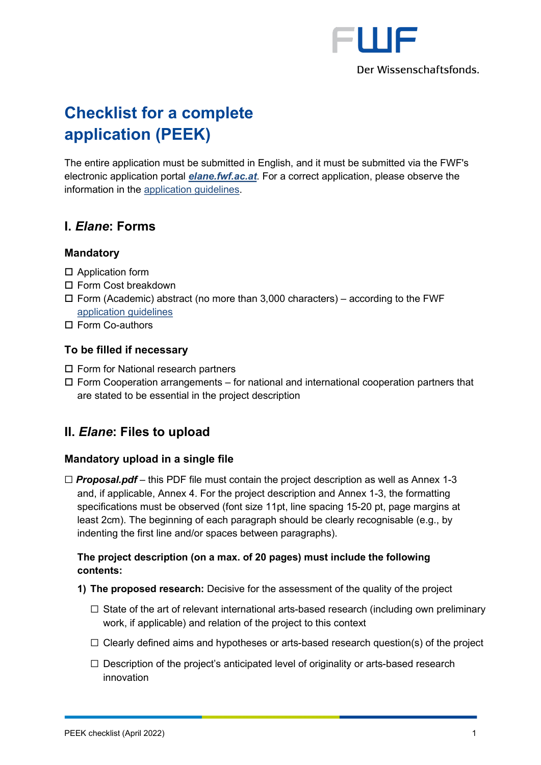

# **Checklist for a complete application (PEEK)**

The entire application must be submitted in English, and it must be submitted via the FWF's electronic application portal *[elane.fwf.ac.at](https://elane.fwf.ac.at/)*. For a correct application, please observe the information in the [application guidelines.](https://www.fwf.ac.at/fileadmin/files/Dokumente/Antragstellung/PEEK/ar_application-guidelines.pdf)

# **I.** *Elane***: Forms**

# **Mandatory**

- □ Application form
- □ Form Cost breakdown
- $\Box$  Form (Academic) abstract (no more than 3,000 characters) according to the FWF [application guidelines](https://www.fwf.ac.at/fileadmin/files/Dokumente/Antragstellung/PEEK/ar_application-guidelines.pdf)
- Form Co-authors

## **To be filled if necessary**

- $\square$  Form for National research partners
- $\Box$  Form Cooperation arrangements for national and international cooperation partners that are stated to be essential in the project description

# **II.** *Elane***: Files to upload**

## **Mandatory upload in a single file**

☐ *Proposal.pdf* – this PDF file must contain the project description as well as Annex 1-3 and, if applicable, Annex 4. For the project description and Annex 1-3, the formatting specifications must be observed (font size 11pt, line spacing 15-20 pt, page margins at least 2cm). The beginning of each paragraph should be clearly recognisable (e.g., by indenting the first line and/or spaces between paragraphs).

# **The project description (on a max. of 20 pages) must include the following contents:**

- **1) The proposed research:** Decisive for the assessment of the quality of the project
	- $\Box$  State of the art of relevant international arts-based research (including own preliminary work, if applicable) and relation of the project to this context
	- $\Box$  Clearly defined aims and hypotheses or arts-based research question(s) of the project
	- $\Box$  Description of the project's anticipated level of originality or arts-based research innovation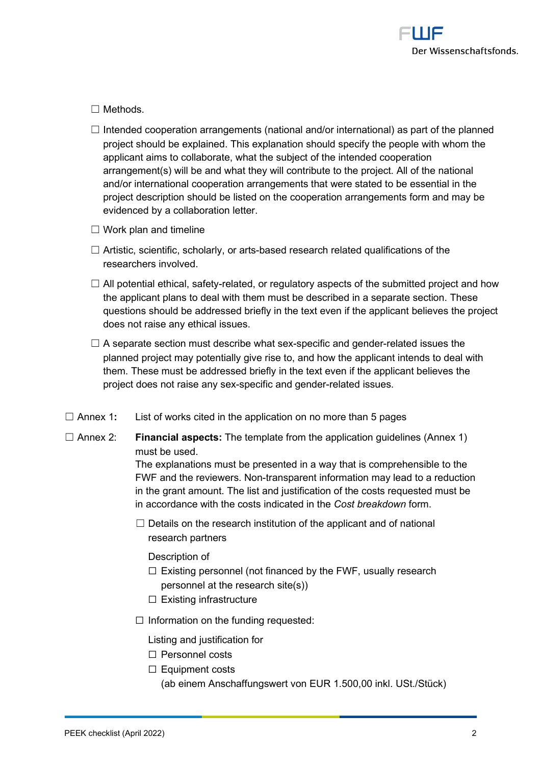

#### ☐ Methods.

- $\Box$  Intended cooperation arrangements (national and/or international) as part of the planned project should be explained. This explanation should specify the people with whom the applicant aims to collaborate, what the subject of the intended cooperation arrangement(s) will be and what they will contribute to the project. All of the national and/or international cooperation arrangements that were stated to be essential in the project description should be listed on the cooperation arrangements form and may be evidenced by a collaboration letter.
- $\Box$  Work plan and timeline
- $\Box$  Artistic, scientific, scholarly, or arts-based research related qualifications of the researchers involved.
- $\Box$  All potential ethical, safety-related, or regulatory aspects of the submitted project and how the applicant plans to deal with them must be described in a separate section. These questions should be addressed briefly in the text even if the applicant believes the project does not raise any ethical issues.
- $\Box$  A separate section must describe what sex-specific and gender-related issues the planned project may potentially give rise to, and how the applicant intends to deal with them. These must be addressed briefly in the text even if the applicant believes the project does not raise any sex-specific and gender-related issues.
- ☐ Annex 1**:** List of works cited in the application on no more than 5 pages
- ☐ Annex 2: **Financial aspects:** The template from the application guidelines (Annex 1) must be used.

The explanations must be presented in a way that is comprehensible to the FWF and the reviewers. Non-transparent information may lead to a reduction in the grant amount. The list and justification of the costs requested must be in accordance with the costs indicated in the *Cost breakdown* form.

 $\Box$  Details on the research institution of the applicant and of national research partners

Description of

- $\Box$  Existing personnel (not financed by the FWF, usually research personnel at the research site(s))
- ☐ Existing infrastructure
- ☐ Information on the funding requested:

Listing and justification for

- ☐ Personnel costs
- ☐ Equipment costs (ab einem Anschaffungswert von EUR 1.500,00 inkl. USt./Stück)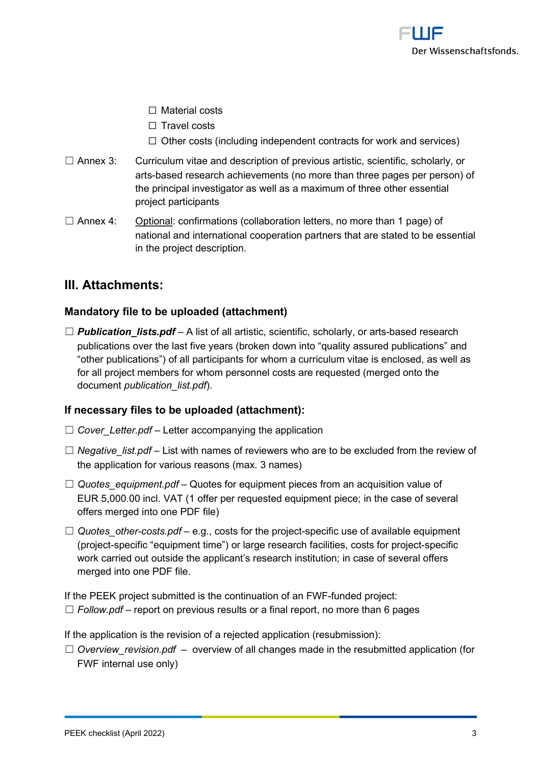

- ☐ Material costs
- ☐ Travel costs
- $\Box$  Other costs (including independent contracts for work and services)
- ☐ Annex 3: Curriculum vitae and description of previous artistic, scientific, scholarly, or arts-based research achievements (no more than three pages per person) of the principal investigator as well as a maximum of three other essential project participants
- $\Box$  Annex 4: Optional: confirmations (collaboration letters, no more than 1 page) of national and international cooperation partners that are stated to be essential in the project description.

# **III. Attachments:**

## **Mandatory file to be uploaded (attachment)**

 $\Box$  **Publication** lists.pdf – A list of all artistic, scientific, scholarly, or arts-based research publications over the last five years (broken down into "quality assured publications" and "other publications") of all participants for whom a curriculum vitae is enclosed, as well as for all project members for whom personnel costs are requested (merged onto the document *publication\_list.pdf*).

## **If necessary files to be uploaded (attachment):**

- ☐ *Cover\_Letter.pdf* Letter accompanying the application
- ☐ *Negative\_list.pdf* List with names of reviewers who are to be excluded from the review of the application for various reasons (max. 3 names)
- □ *Quotes equipment.pdf* Quotes for equipment pieces from an acquisition value of EUR 5,000.00 incl. VAT (1 offer per requested equipment piece; in the case of several offers merged into one PDF file)
- ☐ *Quotes\_other-costs.pdf* e.g., costs for the project-specific use of available equipment (project-specific "equipment time") or large research facilities, costs for project-specific work carried out outside the applicant's research institution; in case of several offers merged into one PDF file.

If the PEEK project submitted is the continuation of an FWF-funded project:  $\Box$  *Follow.pdf* – report on previous results or a final report, no more than 6 pages

If the application is the revision of a rejected application (resubmission):

☐ *Overview\_revision.pdf* – overview of all changes made in the resubmitted application (for FWF internal use only)